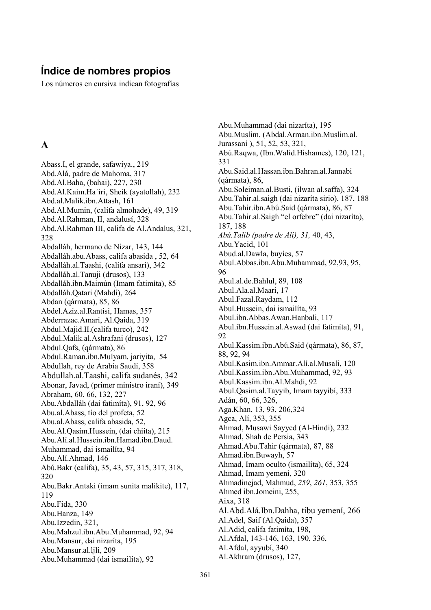#### Indice de nombres propios

Los números en cursiva indican fotografías

#### $\mathbf{A}$

Abass.I. el grande, safawiya., 219 Abd. Alá, padre de Mahoma, 317 Abd.Al.Baha, (bahai), 227, 230 Abd.Al.Kaim.Ha'iri, Sheik (ayatollah), 232 Abd.al.Malik.ibn.Attash, 161 Abd.Al.Mumin, (califa almohade), 49, 319 Abd.Al.Rahman, II, andalusí, 328 Abd.Al.Rahman III, califa de Al.Andalus, 321, 328 Abdalláh, hermano de Nizar, 143, 144 Abdalláh.abu.Abass. califa abasida . 52. 64 Abdalláh.al. Taashi, (califa ansarí), 342 Abdalláh al Tanuii (drusos). 133 Abdalláh.ibn.Maimún (Imam fatimíta), 85 Abdalláh.Qatari (Mahdi), 264 Abdan (gármata), 85, 86 Abdel.Aziz.al.Rantisi, Hamas, 357 Abderrazac.Amari, Al.Qaida, 319 Abdul.Majid.II.(califa turco), 242 Abdul.Malik.al.Ashrafani (drusos), 127 Abdul.Qafs, (qármata), 86 Abdul.Raman.ibn.Mulyam, jariyita, 54 Abdullah, rey de Arabia Saudí, 358 Abdullah.al. Taashi, califa sudanés, 342 Abonar, Javad, (primer ministro iraní), 349 Abraham, 60, 66, 132, 227 Abu. Abdalláh (dai fatimíta), 91, 92, 96 Abu.al.Abass, tío del profeta, 52 Abu.al.Abass, califa abasida, 52, Abu.Al.Qasim.Hussein, (dai chiita), 215 Abu.Alí.al.Hussein.ibn.Hamad.ibn.Daud. Muhammad, dai ismailíta, 94 Abu.Alí.Ahmad, 146 Abú.Bakr (califa), 35, 43, 57, 315, 317, 318, 320 Abu.Bakr.Antaki (imam sunita malikite), 117, 119 Abu.Fida, 330 Abu.Hanza, 149 Abu.Izzedin, 321, Abu.Mahzul.ibn.Abu.Muhammad, 92, 94 Abu.Mansur, dai nizaríta, 195 Abu.Mansur.al.ljli, 209 Abu.Muhammad (dai ismailíta), 92

Abu.Muhammad (dai nizaríta), 195 Abu.Muslim. (Abdal.Arman.ibn.Muslim.al. Jurassaní), 51, 52, 53, 321, Abú.Raqwa, (Ibn.Walid.Hishames), 120, 121, 331 Abu.Said.al.Hassan.ibn.Bahran.al.Jannabi  $(qármata)$ , 86, Abu. Soleiman. al. Busti, (ilwan al. saffa), 324 Abu.Tahir.al.saigh (dai nizaríta sirio), 187, 188 Abu. Tahir. ibn. Abú. Said (gármata), 86, 87 Abu.Tahir.al.Saigh "el orfebre" (dai nizaríta), 187, 188 Abú. Talib (padre de Alí), 31, 40, 43, Abu.Yacid, 101 Abud.al.Dawla, buyies, 57 Abul.Abbas.ibn.Abu.Muhammad, 92,93, 95, 96 Abul.al.de.Bahlul, 89, 108 Abul.Ala.al.Maari, 17 Abul.Fazal.Raydam, 112 Abul.Hussein, dai ismailíta, 93 Abul.ibn.Abbas.Awan.Hanbali, 117 Abul.ibn.Hussein.al.Aswad (dai fatimita), 91, 92 Abul.Kassim.ibn.Abú.Said (gármata), 86, 87. 88, 92, 94 Abul.Kasim.ibn.Ammar.Alí.al.Musali, 120 Abul.Kassim.ibn.Abu.Muhammad, 92, 93 Abul.Kassim.ibn.Al.Mahdi, 92 Abul.Qasim.al.Tayyib, Imam tayyibi, 333 Adán, 60, 66, 326, Aga.Khan, 13, 93, 206, 324 Agca, Alí, 353, 355 Ahmad, Musawi Sayyed (Al-Hindi), 232 Ahmad, Shah de Persia, 343 Ahmad.Abu.Tahir (qármata), 87, 88 Ahmad.ibn.Buwayh, 57 Ahmad, Imam oculto (ismailíta), 65, 324 Ahmad. Imam vemení. 320 Ahmadinejad, Mahmud, 259, 261, 353, 355 Ahmed ibn.Jomeini, 255, Aixa, 318 Al.Abd.Alá.Ibn.Dahha, tibu yemení, 266 Al.Adel. Saif (Al.Oaida), 357 Al.Adid. califa fatimíta. 198. Al. Afdal, 143-146, 163, 190, 336, Al.Afdal, ayyubí, 340 Al.Akhram (drusos), 127,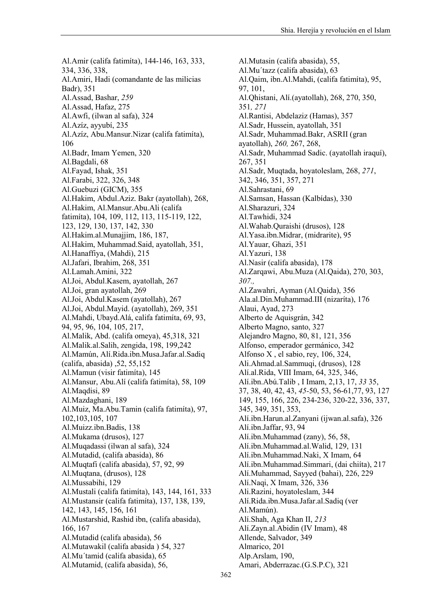Al. Amir (califa fatimita), 144-146, 163, 333, 334, 336, 338, Al.Amiri, Hadi (comandante de las milicias Badr), 351 Al.Assad, Bashar, 259 Al.Assad, Hafaz, 275 Al.Awfi, (ilwan al safa), 324 Al.Azíz, ayyubí, 235 Al. Azíz, Abu. Mansur. Nizar (califa fatimíta), 106 Al.Badr, Imam Yemen, 320 Al.Bagdali, 68 Al.Fayad, Ishak, 351 Al.Farabi, 322, 326, 348 Al.Guebuzi (GICM), 355 Al.Hakim, Abdul.Aziz. Bakr (ayatollah), 268, Al.Hakim, Al.Mansur.Abu.Ali (califa fatimíta), 104, 109, 112, 113, 115-119, 122, 123, 129, 130, 137, 142, 330 Al.Hakim.al.Munajjim, 186, 187, Al.Hakim, Muhammad.Said, ayatollah, 351, Al.Hanaffiya, (Mahdi), 215 Al.Jafari, Ibrahim, 268, 351 Al.Lamah.Amini, 322 Al.Joi, Abdul.Kasem, ayatollah, 267 Al.Joi, gran avatollah, 269 Al.Joi, Abdul.Kasem (ayatollah), 267 Al.Joi, Abdul.Mayid. (ayatollah), 269, 351 Al.Mahdi, Ubayd.Alá, califa fatimíta, 69, 93, 94, 95, 96, 104, 105, 217, Al.Malik, Abd. (califa omeya), 45,318, 321 Al. Malik. al. Salih, zengida, 198, 199, 242 Al.Mamún, Alí.Rida.ibn.Musa.Jafar.al.Sadiq  $(califa, abasida)$ , 52, 55, 152 Al.Mamun (visir fatimíta), 145 Al.Mansur, Abu.Alí (califa fatimíta), 58, 109 Al.Maqdisi, 89 Al.Mazdaghani, 189 Al.Muiz, Ma.Abu.Tamin (califa fatimita), 97, 102, 103, 105, 107 Al.Muizz.ibn.Badis, 138 Al.Mukama (drusos), 127 Al.Muqadassi (ilwan al safa), 324 Al.Mutadid, (califa abasida), 86 Al.Muqtafi (califa abasida), 57, 92, 99 Al.Mugtana, (drusos), 128 Al.Mussabihi, 129 Al. Mustali (califa fatimíta), 143, 144, 161, 333 Al.Mustansir (califa fatimita), 137, 138, 139, 142, 143, 145, 156, 161 Al.Mustarshid, Rashid ibn, (califa abasida), 166, 167 Al.Mutadid (califa abasida), 56 Al.Mutawakil (califa abasida) 54, 327 Al.Mu'tamid (califa abasida), 65 Al.Mutamid, (califa abasida), 56,

Al. Mutasin (califa abasida), 55. Al.Mu'tazz (califa abasida), 63 Al.Qaim, ibn.Al.Mahdi, (califa fatimita), 95, 97, 101, Al.Qhistani, Alí.(ayatollah), 268, 270, 350, 351, 271 Al.Rantisi, Abdelaziz (Hamas), 357 Al.Sadr. Hussein. avatollah. 351 Al.Sadr, Muhammad.Bakr, ASRII (gran ayatollah), 260, 267, 268, Al.Sadr, Muhammad Sadic. (ayatollah iraquí), 267, 351 Al.Sadr, Muqtada, hoyatoleslam, 268, 271, 342, 346, 351, 357, 271 Al.Sahrastani, 69 Al.Samsan, Hassan (Kalbídas), 330 Al.Sharazuri, 324 Al.Tawhidi, 324 Al. Wahab. Ouraishi (drusos), 128 Al. Yasa.ibn. Midrar, (midrarite), 95 Al. Yauar, Ghazi, 351 Al.Yazuri, 138 Al.Nasir (califa abasida), 178 Al.Zargawi, Abu.Muza (Al.Qaida), 270, 303,  $307.$ Al.Zawahri, Ayman (Al.Qaida), 356 Ala.al.Din.Muhammad.III (nizaríta), 176 Alaui, Ayad, 273 Alberto de Aquisgrán, 342 Alberto Magno, santo, 327 Alejandro Magno, 80, 81, 121, 356 Alfonso, emperador germánico, 342 Alfonso  $X$ , el sabio, rev, 106, 324, Ali.Ahmad.al.Sammugi, (drusos), 128 Alí.al.Rida, VIII Imam, 64, 325, 346, Alí.ibn.Abú.Talib, I Imam, 2,13, 17, 33 35, 37, 38, 40, 42, 43, 45-50, 53, 56-61, 77, 93, 127 149, 155, 166, 226, 234-236, 320-22, 336, 337, 345, 349, 351, 353, Ali.ibn.Harun.al.Zanyani (ijwan.al.safa), 326 Alí.ibn.Jaffar, 93, 94 Ali.ibn.Muhammad (zany), 56, 58, Alí.ibn.Muhammad.al.Walid, 129, 131 Alí.ibn.Muhammad.Naki, X Imam, 64 Alí.ibn.Muhammad.Simmari, (dai chiíta), 217 Alí.Muhammad. Savved (bahai), 226, 229 Alí.Naqi, X Imam, 326, 336 Ali. Razini, hoyatoleslam, 344 Alí.Rida.ibn.Musa.Jafar.al.Sadiq (ver Al.Mamún). Alí.Shah, Aga Khan II, 213 Alí. Zayn. al. Abidin (IV Imam), 48 Allende, Salvador, 349 Almarico, 201 Alp.Arslam, 190, Amari, Abderrazac.(G.S.P.C), 321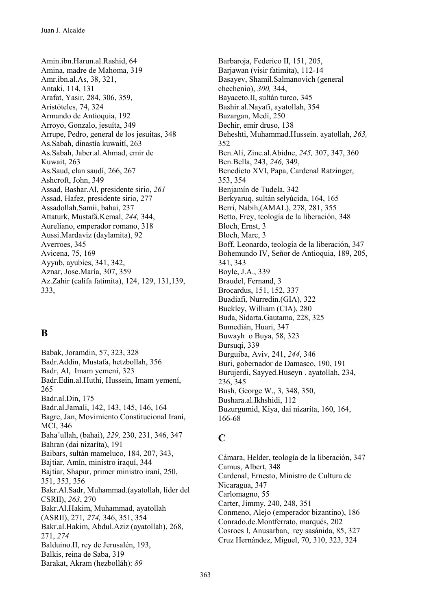Amin.ibn.Harun.al.Rashid. 64 Amina, madre de Mahoma, 319 Amr.ibn.al.As, 38, 321, Antaki, 114, 131 Arafat, Yasir, 284, 306, 359, Aristóteles, 74, 324 Armando de Antioquia, 192 Arrovo, Gonzalo, iesuíta, 349 Arrupe, Pedro, general de los jesuitas, 348 As. Sabah, dinastía kuwaití, 263 As.Sabah, Jaber.al.Ahmad, emir de Kuwait, 263 As.Saud, clan saudí, 266, 267 Ashcroft, John, 349 Assad. Bashar.Al. presidente sirio. 261 Assad, Hafez, presidente sirio, 277 Assadollah.Samii, bahai, 237 Attaturk, Mustafá.Kemal, 244, 344, Aureliano, emperador romano, 318 Aussi.Mardaviz (daylamita), 92 Averroes, 345 Avicena, 75, 169 Ayyub, ayubies, 341, 342, Aznar, Jose.María, 307, 359 Az.Zahir (califa fatimíta), 124, 129, 131, 139, 333.

## B

Babak, Joramdin, 57, 323, 328 Badr Addin, Mustafa, hetzbollah, 356 Badr, Al, Imam yemení, 323 Badr.Edín.al.Huthi, Hussein, Imam yemení, 265 Badr.al.Din. 175 Badr.al.Jamali, 142, 143, 145, 146, 164 Bagre, Jan, Movimiento Constitucional Iraní, **MCI, 346** Baha'ullah, (bahai), 229, 230, 231, 346, 347 Bahran (dai nizaríta), 191 Baibars, sultán mameluco, 184, 207, 343, Bajtiar, Amín, ministro iraquí, 344 Bajtiar, Shapur, primer ministro iraní, 250, 351, 353, 356 Bakr.Al.Sadr, Muhammad.(avatollah, líder del CSRII), 263, 270 Bakr.Al.Hakim, Muhammad, ayatollah (ASRII), 271, 274, 346, 351, 354 Bakr.al.Hakim, Abdul.Aziz (ayatollah), 268, 271, 274 Balduino.II. rev de Jerusalén, 193. Balkis, reina de Saba, 319 Barakat, Akram (hezbolláh): 89

Barbaroia. Federico II. 151, 205. Barjawan (visir fatimita), 112-14 Basayev, Shamil.Salmanovich (general chechenio), 300, 344, Bayaceto.II, sultán turco, 345 Bashir.al.Nayafi, ayatollah, 354 Bazargan, Medí, 250 Bechir, emir druso, 138 Beheshti, Muhammad.Hussein. avatollah, 263. 352 Ben.Alí, Zine.al.Abidne, 245, 307, 347, 360 Ben.Bella, 243, 246, 349, Benedicto XVI, Papa, Cardenal Ratzinger, 353, 354 Benjamín de Tudela, 342 Berkyaruq, sultán selyúcida, 164, 165 Berri, Nabih, (AMAL), 278, 281, 355 Betto, Frey, teología de la liberación, 348 Bloch, Ernst, 3 Bloch, Marc, 3 Boff, Leonardo, teología de la liberación, 347 Bohemundo IV, Señor de Antioquia, 189, 205, 341, 343 Boyle, J.A., 339 Braudel, Fernand, 3 Brocardus, 151, 152, 337 Buadiafi, Nurredin.(GIA), 322 Buckley, William (CIA), 280 Buda, Sidarta.Gautama, 228, 325 Bumedián, Huari, 347 Buwayh o Buya, 58, 323 Bursuqi, 339 Burguiba, Aviv, 241, 244, 346 Buri, gobernador de Damasco, 190, 191 Burujerdi, Sayyed.Huseyn. ayatollah, 234, 236, 345 Bush, George W., 3, 348, 350, Bushara.al.Ikhshidi, 112 Buzurgumid, Kiya, dai nizaríta, 160, 164, 166-68

## $\mathbf C$

Cámara. Helder, teología de la liberación. 347 Camus, Albert, 348 Cardenal, Ernesto, Ministro de Cultura de Nicaragua, 347 Carlomagno, 55 Carter, Jimmy, 240, 248, 351 Conmeno, Aleio (emperador bizantino), 186 Conrado.de.Montferrato. marqués. 202 Cosroes I, Anusarban, rey sasánida, 85, 327 Cruz Hernández, Miguel, 70, 310, 323, 324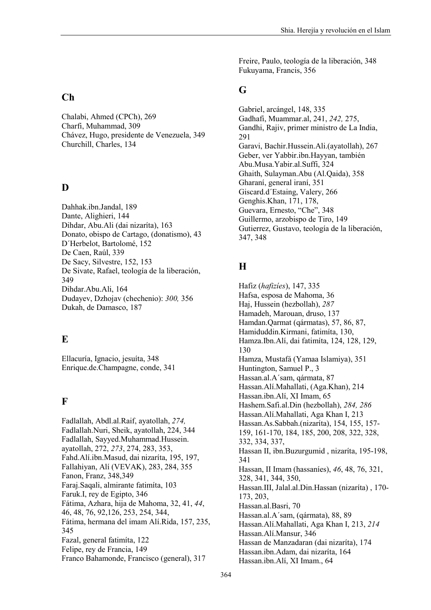#### $Ch$

Chalabi, Ahmed (CPCh), 269 Charfi, Muhammad, 309 Chávez, Hugo, presidente de Venezuela, 349 Churchill, Charles, 134

#### $\mathbf{D}$

Dahhak.ibn.Jandal, 189 Dante, Alighieri, 144 Dihdar, Abu.Ali (dai nizaríta), 163 Donato, obispo de Cartago, (donatismo), 43 D'Herbelot, Bartolomé, 152 De Caen, Raúl, 339 De Sacy, Silvestre, 152, 153 De Sivate, Rafael, teología de la liberación, 349 Dihdar.Abu.Ali, 164 Dudayev, Dzhojav (chechenio): 300, 356 Dukah, de Damasco, 187

#### $E$

Ellacuría, Ignacio, jesuíta, 348 Enrique.de.Champagne, conde, 341

#### $\mathbf{F}$

Fadlallah, Abdl.al.Raif, ayatollah, 274, Fadlallah.Nuri, Sheik, ayatollah, 224, 344 Fadlallah, Sayyed.Muhammad.Hussein. ayatollah, 272, 273, 274, 283, 353, Fahd.Alí.ibn.Masud, dai nizaríta, 195, 197, Fallahiyan, Alí (VEVAK), 283, 284, 355 Fanon, Franz, 348,349 Faraj Saqali, almirante fatimita, 103 Faruk.I, rey de Egipto, 346 Fátima, Azhara, hija de Mahoma, 32, 41, 44, 46, 48, 76, 92, 126, 253, 254, 344, Fátima, hermana del imam Alí.Rida, 157, 235, 345 Fazal, general fatimita, 122 Felipe, rey de Francia, 149 Franco Bahamonde, Francisco (general), 317

Freire, Paulo, teología de la liberación, 348 Fukuyama, Francis, 356

#### G

Gabriel, arcángel, 148, 335 Gadhafi, Muammar.al, 241, 242, 275, Gandhi, Rajiv, primer ministro de La India, 291 Garavi, Bachir.Hussein.Ali.(ayatollah), 267 Geber, ver Yabbir.ibn.Hayyan, también Abu.Musa.Yabir.al.Suffi. 324 Ghaith, Sulayman.Abu (Al.Qaida), 358 Gharaní, general iraní, 351 Giscard.d'Estaing, Valery, 266 Genghis. Khan, 171, 178, Guevara, Ernesto, "Che", 348 Guillermo, arzobispo de Tiro, 149 Gutierrez, Gustavo, teología de la liberación, 347.348

# $\mathbf H$

Hafiz (*hafizies*), 147, 335 Hafsa, esposa de Mahoma, 36 Haj, Hussein (hezbollah), 287 Hamadeh, Marouan, druso, 137 Hamdan.Qarmat (qármatas), 57, 86, 87, Hamiduddin.Kirmani, fatimíta, 130, Hamza.Ibn.Alí, dai fatimíta, 124, 128, 129, 130 Hamza, Mustafá (Yamaa Islamiya), 351 Huntington, Samuel P., 3 Hassan.al.A'sam, gármata, 87 Hassan.Alí.Mahallati, (Aga.Khan), 214 Hassan.ibn.Alí, XI Imam, 65 Hashem.Safi.al.Din (hezbollah), 284, 286 Hassan. Alí. Mahallati, Aga Khan I, 213 Hassan.As.Sabbah.(nizaríta), 154, 155, 157-159, 161-170, 184, 185, 200, 208, 322, 328, 332, 334, 337, Hassan II, ibn. Buzurgumid, nizarita, 195-198, 341 Hassan, II Imam (hassanies), 46, 48, 76, 321, 328, 341, 344, 350, Hassan.III, Jalal.al.Din.Hassan (nizaríta), 170-173, 203. Hassan.al.Basri, 70 Hassan.al.A'sam, (qármata), 88, 89 Hassan. Alí. Mahallati, Aga Khan I, 213, 214 Hassan.Alí.Mansur, 346 Hassan de Manzadaran (dai nizaríta), 174 Hassan.ibn.Adam, dai nizaríta, 164 Hassan.ibn.Alí, XI Imam., 64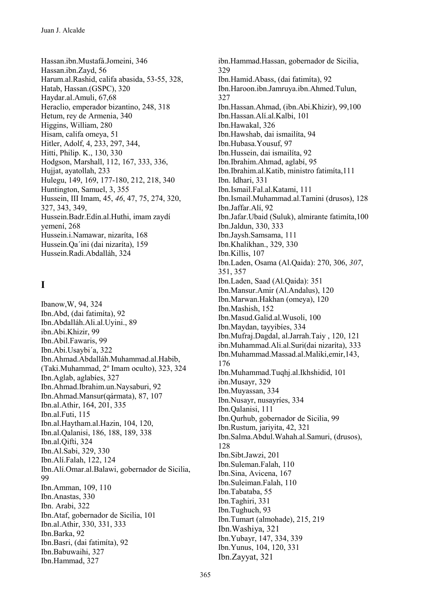Hassan.ibn.Mustafá.Jomeini, 346 Hassan.ibn.Zayd, 56 Harum.al.Rashid, califa abasida, 53-55, 328, Hatab, Hassan.(GSPC), 320 Haydar.al.Amuli, 67,68 Heraclio, emperador bizantino, 248, 318 Hetum, rev de Armenia, 340 Higgins, William, 280 Hisam, califa omeya, 51 Hitler, Adolf, 4, 233, 297, 344, Hitti, Philip. K., 130, 330 Hodgson, Marshall, 112, 167, 333, 336, Huijat, avatollah, 233 Hulegu, 149, 169, 177-180, 212, 218, 340 Huntington, Samuel, 3, 355 Hussein, III Imam, 45, 46, 47, 75, 274, 320, 327, 343, 349, Hussein.Badr.Edín.al.Huthi, imam zaydí vemení, 268 Hussein.i.Namawar, nizaríta, 168 Hussein. Qa'ini (dai nizarita), 159 Hussein.Radi.Abdalláh, 324

# $\mathbf I$

Ibanow, W, 94, 324 Ibn.Abd, (dai fatimita), 92 Ibn.Abdalláh.Ali.al.Uyini., 89 ibn.Abi.Khizir, 99 Ibn.Abil.Fawaris, 99 Ibn.Abi.Usaybi'a, 322 Ibn.Ahmad.Abdalláh.Muhammad.al.Habib, (Taki.Muhammad, 2° Imam oculto), 323, 324 Ibn.Aglab, aglabies, 327 Ibn.Ahmad.Ibrahim.un.Naysaburi, 92 Ibn.Ahmad.Mansur(gármata), 87, 107 Ibn.al.Athir, 164, 201, 335 Ibn.al.Futi, 115 Ibn.al.Haytham.al.Hazin, 104, 120, Ibn.al. Oalanisi, 186, 188, 189, 338 Ibn.al.Oifti, 324 Ibn.Al.Sabi, 329, 330 Ibn.Alí.Falah, 122, 124 Ibn.Alí.Omar.al.Balawi, gobernador de Sicilia, 99 Ibn.Amman, 109, 110 Ibn.Anastas, 330 Ibn. Arabi. 322 Ibn.Ataf, gobernador de Sicilia, 101 Ibn.al.Athir, 330, 331, 333 Ibn.Barka, 92 Ibn.Basri, (dai fatimíta), 92 Ibn.Babuwaihi, 327 Ibn.Hammad, 327

ibn.Hammad.Hassan, gobernador de Sicilia. 329 Ibn.Hamid.Abass, (dai fatimíta), 92 Ibn.Haroon.ibn.Jamruya.ibn.Ahmed.Tulun, 327 Ibn.Hassan.Ahmad, (ibn.Abi.Khizir), 99,100 Ibn.Hassan.Alí.al.Kalbi, 101 Ibn.Hawakal, 326 Ibn.Hawshab, dai ismailíta, 94 Ibn.Hubasa.Yousuf, 97 Ibn.Hussein, dai ismailíta, 92 Ibn.Ibrahim.Ahmad, aglabí, 95 Ibn.Ibrahim.al.Katib, ministro fatimíta, 111 Ibn. Idhari, 331 Ibn.Ismail.Fal.al.Katami. 111 Ibn.Ismail.Muhammad.al.Tamini (drusos), 128 Ibn.Jaffar.Alí, 92 Ibn.Jafar.Ubaid (Suluk), almirante fatimita, 100 Ibn.Jaldun, 330, 333 Ibn.Jaysh.Samsama, 111 Ibn.Khalikhan., 329, 330 Ibn.Killis, 107 Ibn.Laden, Osama (Al.Qaida): 270, 306, 307, 351.357 Ibn.Laden, Saad (Al.Qaida): 351 Ibn.Mansur.Amir (Al.Andalus), 120 Ibn.Marwan.Hakhan (omeya), 120 Ibn.Mashish, 152 Ibn.Masud.Galid.al.Wusoli, 100 Ibn. Maydan, tayyibies, 334 Ibn.Mufraj.Dagdal, al.Jarrah.Taiy, 120, 121 ibn.Muhammad.Ali.al.Suri(dai nizaríta), 333 Ibn.Muhammad.Massad.al.Maliki.emir.143. 176 Ibn.Muhammad.Tuqhj.al.Ikhshidid, 101 ibn.Musayr, 329 Ibn.Muyassan, 334 Ibn.Nusayr, nusayries, 334 Ibn.Oalanisi, 111 Ibn.Qurhub, gobernador de Sicilia, 99 Ibn.Rustum, jariyita, 42, 321 Ibn.Salma.Abdul.Wahah.al.Samuri, (drusos), 128 Ibn.Sibt.Jawzi, 201 Ibn.Suleman.Falah, 110 Ibn.Sina, Avicena, 167 Ibn.Suleiman.Falah, 110 Ibn.Tabataba, 55 Ibn.Taghiri, 331 Ibn.Tughuch, 93 Ibn.Tumart (almohade), 215, 219 Ibn. Washiya, 321 Ibn.Yubayr, 147, 334, 339 Ibn. Yunus, 104, 120, 331 Ibn.Zayyat, 321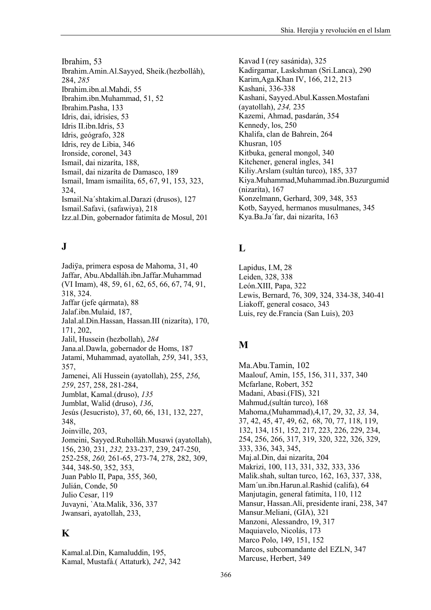Ibrahim. 53 Ibrahim.Amin.Al.Sayyed, Sheik.(hezbolláh), 284, 285 Ibrahim.ibn.al.Mahdi, 55 Ibrahim.ibn.Muhammad, 51, 52 Ibrahim.Pasha, 133 Idris, dai, idrisíes, 53 Idris II.ibn.Idris, 53 Idris, geógrafo, 328 Idris, rey de Libia, 346 Ironside, coronel, 343 Ismail, dai nizaríta, 188, Ismail, dai nizaríta de Damasco, 189 Ismail, Imam ismailíta, 65, 67, 91, 153, 323, 324. Ismail.Na'shtakim.al.Darazi (drusos), 127 Ismail.Safavi, (safawiya), 218 Izz.al.Din, gobernador fatimíta de Mosul, 201

# ${\bf J}$

Jadiya, primera esposa de Mahoma, 31, 40 Jaffar, Abu.Abdalláh.ibn.Jaffar.Muhammad (VI Imam), 48, 59, 61, 62, 65, 66, 67, 74, 91, 318, 324. Jaffar (jefe gármata), 88 Jalaf.ibn.Mulaid, 187, Jalal.al.Din.Hassan, Hassan.III (nizaríta), 170, 171.202. Jalil, Hussein (hezbollah), 284 Jana.al.Dawla, gobernador de Homs, 187 Jatamí, Muhammad, avatollah, 259, 341, 353, 357. Jamenei, Alí Hussein (ayatollah), 255, 256, 259, 257, 258, 281-284, Jumblat, Kamal.(druso), 135 Jumblat, Walid (druso), 136, Jesús (Jesucristo), 37, 60, 66, 131, 132, 227, 348, Joinville, 203, Jomeini, Sayyed.Ruholláh.Musawi (ayatollah), 156, 230, 231, 232, 233-237, 239, 247-250, 252-258, 260, 261-65, 273-74, 278, 282, 309, 344, 348-50, 352, 353, Juan Pablo II, Papa, 355, 360, Julián. Conde. 50 Julio Cesar, 119 Juvayni, `Ata.Malik, 336, 337 Jwansari, ayatollah, 233,

## $\mathbf K$

Kamal.al.Din, Kamaluddin, 195, Kamal, Mustafá.(Attaturk), 242, 342 Kavad I (rev sasánida), 325 Kadirgamar, Laskshman (Sri,Lanca), 290 Karim, Aga, Khan IV, 166, 212, 213 Kashani, 336-338 Kashani, Sayyed.Abul.Kassen.Mostafani (ayatollah), 234, 235 Kazemi, Ahmad, pasdarán, 354 Kennedy, los. 250 Khalifa, clan de Bahrein, 264 Khusran, 105 Kitbuka, general mongol, 340 Kitchener, general ingles, 341 Kiliy. Arslam (sultán turco), 185, 337 Kiya.Muhammad,Muhammad.ibn.Buzurgumid (nizaríta), 167 Konzelmann, Gerhard, 309, 348, 353 Kotb, Sayyed, hermanos musulmanes, 345 Kya.Ba.Ja'far, dai nizaríta, 163

# L

Lapidus, I.M. 28 Leiden, 328, 338 León.XIII, Papa, 322 Lewis, Bernard, 76, 309, 324, 334-38, 340-41 Liakoff, general cosaco, 343 Luis, rey de Francia (San Luis), 203

## M

Ma.Abu.Tamin, 102 Maalouf, Amin, 155, 156, 311, 337, 340 Mcfarlane, Robert, 352 Madani, Abasi.(FIS), 321 Mahmud, (sultán turco), 168 Mahoma, (Muhammad), 4, 17, 29, 32, 33, 34, 37, 42, 45, 47, 49, 62, 68, 70, 77, 118, 119, 132, 134, 151, 152, 217, 223, 226, 229, 234, 254, 256, 266, 317, 319, 320, 322, 326, 329, 333, 336, 343, 345, Mai.al.Din. dai nizaríta. 204 Makrizi, 100, 113, 331, 332, 333, 336 Malik.shah, sultan turco, 162, 163, 337, 338, Mam'un.ibn.Harun.al.Rashid (califa), 64 Manjutagin, general fatimita, 110, 112 Mansur, Hassan. Alí, presidente iraní, 238, 347 Mansur.Meliani, (GIA), 321 Manzoni, Alessandro, 19, 317 Maquiavelo, Nicolás, 173 Marco Polo, 149, 151, 152 Marcos, subcomandante del EZLN, 347 Marcuse, Herbert, 349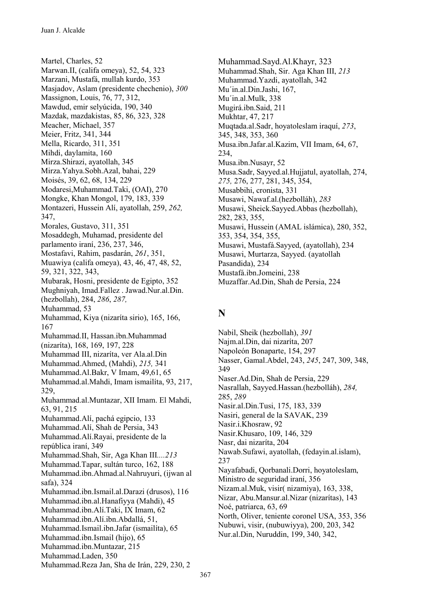Martel, Charles, 52 Marwan.II, (califa omeya), 52, 54, 323 Marzani, Mustafá, mullah kurdo, 353 Masjadov, Aslam (presidente chechenio), 300 Massignon, Louis, 76, 77, 312, Mawdud, emir selvúcida, 190, 340 Mazdak, mazdakistas, 85, 86, 323, 328 Meacher, Michael, 357 Meier, Fritz, 341, 344 Mella, Ricardo, 311, 351 Mihdi, daylamita, 160 Mirza.Shirazi, avatollah, 345 Mirza.Yahya.Sobh.Azal, bahai, 229 Moisés, 39, 62, 68, 134, 229 Modaresi.Muhammad.Taki. (OAI), 270 Mongke, Khan Mongol, 179, 183, 339 Montazeri, Hussein Alí, ayatollah, 259, 262, 347. Morales, Gustavo, 311, 351 Mosaddegh, Muhamad, presidente del parlamento irani, 236, 237, 346, Mostafavi, Rahim, pasdarán, 261, 351, Muawiya (califa omeya), 43, 46, 47, 48, 52, 59, 321, 322, 343, Mubarak, Hosni, presidente de Egipto, 352 Mughniyah, Imad.Fallez . Jawad.Nur.al.Din. (hezbollah), 284, 286, 287, Muhammad, 53 Muhammad, Kiya (nizaríta sirio), 165, 166, 167 Muhammad.II, Hassan.ibn.Muhammad (nizaríta), 168, 169, 197, 228 Muhammad III, nizaríta, ver Ala.al.Din Muhammad.Ahmed, (Mahdi), 215, 341 Muhammad.Al.Bakr, V Imam, 49,61, 65 Muhammad.al.Mahdi, Imam ismailíta, 93, 217, 329, Muhammad.al.Muntazar, XII Imam. El Mahdi, 63, 91, 215 Muhammad.Alí, pachá egipcio, 133 Muhammad.Alí, Shah de Persia, 343 Muhammad.Alí.Rayai, presidente de la república iraní, 349 Muhammad.Shah, Sir, Aga Khan III....213 Muhammad.Tapar, sultán turco, 162, 188 Muhammad.ibn.Ahmad.al.Nahruyuri, (ijwan al safa), 324 Muhammad.ibn.Ismail.al.Darazi (drusos), 116 Muhammad.ibn.al.Hanafiyya (Mahdi), 45 Muhammad.ibn.Alí.Taki, IX Imam, 62 Muhammad.ibn.Alí.ibn.Abdallá, 51, Muhammad.Ismail.ibn.Jafar (ismailita), 65 Muhammad.ibn.Ismail (hijo), 65 Muhammad.ibn.Muntazar, 215 Muhammad.Laden, 350 Muhammad.Reza Jan, Sha de Irán, 229, 230, 2

Muhammad.Savd.Al.Khavr. 323 Muhammad.Shah, Sir. Aga Khan III, 213 Muhammad. Yazdi, ayatollah, 342 Mu'in.al.Din.Jashi, 167, Mu'in.al.Mulk, 338 Mugirá.ibn.Said, 211 Mukhtar, 47, 217 Mugtada.al.Sadr, hovatoleslam iraquí, 273, 345, 348, 353, 360 Musa.ibn.Jafar.al.Kazim, VII Imam, 64, 67, 234. Musa.ibn.Nusavr, 52 Musa.Sadr, Sayyed.al.Hujjatul, ayatollah, 274, 275, 276, 277, 281, 345, 354, Musabbihi, cronista, 331 Musawi, Nawaf.al.(hezbolláh), 283 Musawi, Sheick.Sayyed.Abbas (hezbollah), 282, 283, 355, Musawi, Hussein (AMAL islámica), 280, 352, 353, 354, 354, 355, Musawi, Mustafá.Sayyed, (ayatollah), 234 Musawi, Murtarza, Sayyed. (ayatollah Pasandida), 234 Mustafá.ibn.Jomeini, 238 Muzaffar.Ad.Din, Shah de Persia, 224

#### N

Nabil, Sheik (hezbollah), 391 Najm.al.Din, dai nizaríta, 207 Napoleón Bonaparte, 154, 297 Nasser, Gamal.Abdel, 243, 245, 247, 309, 348, 349 Naser.Ad.Din, Shah de Persia, 229 Nasrallah, Sayyed.Hassan.(hezbolláh), 284, 285, 289 Nasir.al.Din.Tusi, 175, 183, 339 Nasiri, general de la SAVAK, 239 Nasir.i.Khosraw, 92 Nasir.Khusaro, 109, 146, 329 Nasr, dai nizaríta, 204 Nawab.Sufawi, ayatollah, (fedayin.al.islam), 237 Nayafabadi, Qorbanali.Dorri, hoyatoleslam, Ministro de seguridad iraní, 356 Nizam.al.Muk, visir(nizamiya), 163, 338, Nizar, Abu.Mansur.al.Nizar (nizarítas), 143 Noé, patriarca, 63, 69 North, Oliver, teniente coronel USA, 353, 356 Nubuwi, visir, (nubuwiyya), 200, 203, 342 Nur.al.Din, Nuruddin, 199, 340, 342,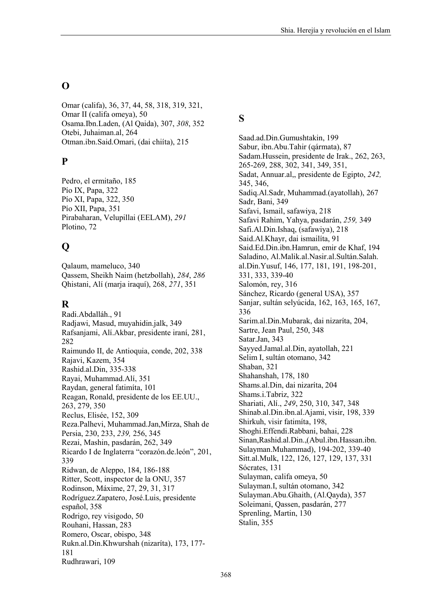### $\Omega$

Omar (califa), 36, 37, 44, 58, 318, 319, 321, Omar II (califa omeya), 50 Osama.Ibn.Laden, (Al Qaida), 307, 308, 352 Otebi, Juhaiman.al, 264 Otman.ibn.Said.Omari, (dai chiíta), 215

#### P

Pedro, el ermitaño, 185 Pío IX, Papa, 322 Pío XI, Papa, 322, 350 Pío XII, Papa, 351 Pirabaharan, Velupillai (EELAM), 291 Plotino, 72

# $\mathbf 0$

Oalaum. mameluco. 340 Qassem, Sheikh Naim (hetzbollah), 284, 286 Ohistani, Alí (maria iraquí), 268, 271, 351

# R

Radi.Abdalláh., 91 Radiawi, Masud, muyahidin.jalk, 349 Rafsanjami, Alí. Akbar, presidente iraní, 281, 282 Raimundo II, de Antioquia, conde, 202, 338 Rajavi, Kazem, 354 Rashid.al.Din, 335-338 Rayai, Muhammad.Alí, 351 Raydan, general fatimíta, 101 Reagan, Ronald, presidente de los EE.UU., 263, 279, 350 Reclus, Elisée, 152, 309 Reza.Palhevi, Muhammad.Jan, Mirza, Shah de Persia, 230, 233, 239, 256, 345 Rezai, Mashin, pasdarán, 262, 349 Ricardo I de Inglaterra "corazón.de.león", 201, 339 Ridwan, de Aleppo, 184, 186-188 Ritter, Scott, inspector de la ONU, 357 Rodinson, Máxime, 27, 29, 31, 317 Rodríguez. Zapatero, José. Luis, presidente español, 358 Rodrigo, rey visigodo, 50 Rouhani, Hassan, 283 Romero, Oscar, obispo, 348 Rukn.al.Din.Khwurshah (nizaríta), 173, 177-181 Rudhrawari, 109

#### S

Saad.ad.Din.Gumushtakin, 199 Sabur, ibn.Abu.Tahir (qármata), 87 Sadam. Hussein, presidente de Irak., 262, 263, 265-269, 288, 302, 341, 349, 351, Sadat, Annuar.al., presidente de Egipto, 242. 345, 346, Sadiq.Al.Sadr, Muhammad.(ayatollah), 267 Sadr, Bani, 349 Safavi, Ismail, safawiya, 218 Safavi Rahim, Yahya, pasdarán, 259, 349 Safi.Al.Din.Ishaq. (safawiya), 218 Said.Al.Khayr, dai ismailíta, 91 Said.Ed.Din.ibn.Hamrun, emir de Khaf, 194 Saladino, Al.Malik.al.Nasir.al.Sultán.Salah. al.Din.Yusuf, 146, 177, 181, 191, 198-201, 331, 333, 339-40 Salomón, rev. 316 Sánchez, Ricardo (general USA), 357 Sanjar, sultán selvúcida, 162, 163, 165, 167, 336 Sarim.al.Din.Mubarak, dai nizaríta, 204, Sartre, Jean Paul, 250, 348 Satar.Jan. 343 Sayyed.Jamal.al.Din, ayatollah, 221 Selim I, sultán otomano, 342 Shaban, 321 Shahanshah, 178, 180 Shams.al.Din, dai nizaríta, 204 Shams.i.Tabriz. 322 Shariati, Alí., 249, 250, 310, 347, 348 Shinab.al.Din.ibn.al.Ajami, visir, 198, 339 Shirkuh, visir fatimita, 198, Shoghi.Effendi.Rabbani, bahai, 228 Sinan, Rashid.al.Din., (Abul.ibn. Hassan.ibn. Sulayman.Muhammad), 194-202, 339-40 Sitt.al.Mulk, 122, 126, 127, 129, 137, 331 Sócrates, 131 Sulayman, califa omeya, 50 Sulayman.I, sultán otomano, 342 Sulayman.Abu.Ghaith, (Al.Qayda), 357 Soleimani, Oassen, pasdarán, 277 Sprenling, Martin, 130 Stalin, 355